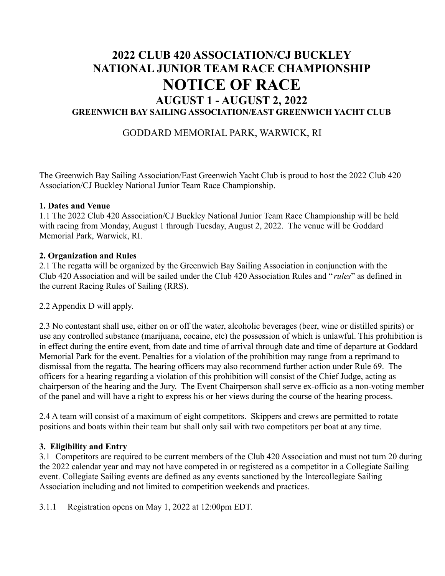# **2022 CLUB 420 ASSOCIATION/CJ BUCKLEY NATIONAL JUNIOR TEAM RACE CHAMPIONSHIP NOTICE OF RACE**

# **AUGUST 1 - AUGUST 2, 2022**

## **GREENWICH BAY SAILING ASSOCIATION/EAST GREENWICH YACHT CLUB**

# GODDARD MEMORIAL PARK, WARWICK, RI

The Greenwich Bay Sailing Association/East Greenwich Yacht Club is proud to host the 2022 Club 420 Association/CJ Buckley National Junior Team Race Championship.

#### **1. Dates and Venue**

1.1 The 2022 Club 420 Association/CJ Buckley National Junior Team Race Championship will be held with racing from Monday, August 1 through Tuesday, August 2, 2022. The venue will be Goddard Memorial Park, Warwick, RI.

#### **2. Organization and Rules**

2.1 The regatta will be organized by the Greenwich Bay Sailing Association in conjunction with the Club 420 Association and will be sailed under the Club 420 Association Rules and " *rules*" as defined in the current Racing Rules of Sailing (RRS).

#### 2.2 Appendix D will apply.

2.3 No contestant shall use, either on or off the water, alcoholic beverages (beer, wine or distilled spirits) or use any controlled substance (marijuana, cocaine, etc) the possession of which is unlawful. This prohibition is in effect during the entire event, from date and time of arrival through date and time of departure at Goddard Memorial Park for the event. Penalties for a violation of the prohibition may range from a reprimand to dismissal from the regatta. The hearing officers may also recommend further action under Rule 69. The officers for a hearing regarding a violation of this prohibition will consist of the Chief Judge, acting as chairperson of the hearing and the Jury. The Event Chairperson shall serve ex-officio as a non-voting member of the panel and will have a right to express his or her views during the course of the hearing process.

2.4 A team will consist of a maximum of eight competitors. Skippers and crews are permitted to rotate positions and boats within their team but shall only sail with two competitors per boat at any time.

#### **3. Eligibility and Entry**

3.1 Competitors are required to be current members of the Club 420 Association and must not turn 20 during the 2022 calendar year and may not have competed in or registered as a competitor in a Collegiate Sailing event. Collegiate Sailing events are defined as any events sanctioned by the Intercollegiate Sailing Association including and not limited to competition weekends and practices.

3.1.1 Registration opens on May 1, 2022 at 12:00pm EDT.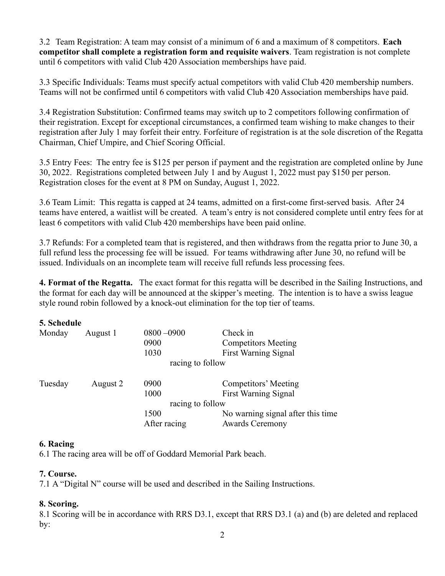3.2 Team Registration: A team may consist of a minimum of 6 and a maximum of 8 competitors. **Each competitor shall complete a registration form and requisite waivers**. Team registration is not complete until 6 competitors with valid Club 420 Association memberships have paid.

3.3 Specific Individuals: Teams must specify actual competitors with valid Club 420 membership numbers. Teams will not be confirmed until 6 competitors with valid Club 420 Association memberships have paid.

3.4 Registration Substitution: Confirmed teams may switch up to 2 competitors following confirmation of their registration. Except for exceptional circumstances, a confirmed team wishing to make changes to their registration after July 1 may forfeit their entry. Forfeiture of registration is at the sole discretion of the Regatta Chairman, Chief Umpire, and Chief Scoring Official.

3.5 Entry Fees: The entry fee is \$125 per person if payment and the registration are completed online by June 30, 2022. Registrations completed between July 1 and by August 1, 2022 must pay \$150 per person. Registration closes for the event at 8 PM on Sunday, August 1, 2022.

3.6 Team Limit: This regatta is capped at 24 teams, admitted on a first-come first-served basis. After 24 teams have entered, a waitlist will be created. A team's entry is not considered complete until entry fees for at least 6 competitors with valid Club 420 memberships have been paid online.

3.7 Refunds: For a completed team that is registered, and then withdraws from the regatta prior to June 30, a full refund less the processing fee will be issued. For teams withdrawing after June 30, no refund will be issued. Individuals on an incomplete team will receive full refunds less processing fees.

**4. Format of the Regatta.** The exact format for this regatta will be described in the Sailing Instructions, and the format for each day will be announced at the skipper's meeting. The intention is to have a swiss league style round robin followed by a knock-out elimination for the top tier of teams.

#### **5. Schedule**

| Monday  | August 1         | $0800 - 0900$<br>0900<br>1030 | Check in<br><b>Competitors Meeting</b><br><b>First Warning Signal</b> |
|---------|------------------|-------------------------------|-----------------------------------------------------------------------|
|         | racing to follow |                               |                                                                       |
| Tuesday | August 2         | 0900                          | Competitors' Meeting                                                  |
|         |                  | 1000                          | <b>First Warning Signal</b>                                           |
|         |                  | racing to follow              |                                                                       |
|         |                  | 1500<br>After racing          | No warning signal after this time<br><b>Awards Ceremony</b>           |

#### **6. Racing**

6.1 The racing area will be off of Goddard Memorial Park beach.

#### **7. Course.**

7.1 A "Digital N" course will be used and described in the Sailing Instructions.

# **8. Scoring.**

8.1 Scoring will be in accordance with RRS D3.1, except that RRS D3.1 (a) and (b) are deleted and replaced by: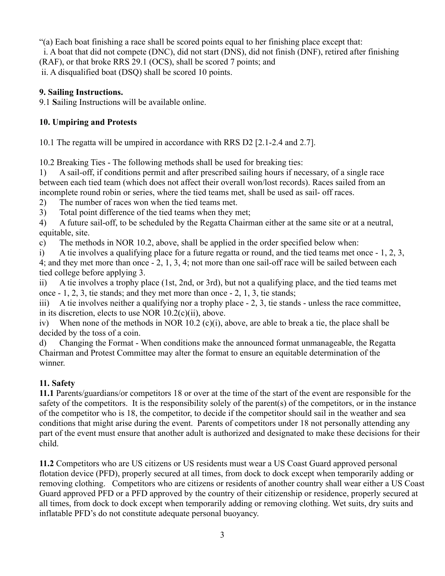"(a) Each boat finishing a race shall be scored points equal to her finishing place except that:

i. A boat that did not compete (DNC), did not start (DNS), did not finish (DNF), retired after finishing (RAF), or that broke RRS 29.1 (OCS), shall be scored 7 points; and ii. A disqualified boat (DSQ) shall be scored 10 points.

#### **9. Sailing Instructions.**

9.1 **S**ailing Instructions will be available online.

## **10. Umpiring and Protests**

10.1 The regatta will be umpired in accordance with RRS D2 [2.1-2.4 and 2.7].

10.2 Breaking Ties - The following methods shall be used for breaking ties:

1) A sail-off, if conditions permit and after prescribed sailing hours if necessary, of a single race between each tied team (which does not affect their overall won/lost records). Races sailed from an incomplete round robin or series, where the tied teams met, shall be used as sail- off races.

2) The number of races won when the tied teams met.

3) Total point difference of the tied teams when they met;

4) A future sail-off, to be scheduled by the Regatta Chairman either at the same site or at a neutral, equitable, site.

c) The methods in NOR 10.2, above, shall be applied in the order specified below when:

i) A tie involves a qualifying place for a future regatta or round, and the tied teams met once - 1, 2, 3, 4; and they met more than once - 2, 1, 3, 4; not more than one sail-off race will be sailed between each tied college before applying 3.

ii) A tie involves a trophy place (1st, 2nd, or 3rd), but not a qualifying place, and the tied teams met once - 1, 2, 3, tie stands; and they met more than once - 2, 1, 3, tie stands;

iii) A tie involves neither a qualifying nor a trophy place - 2, 3, tie stands - unless the race committee, in its discretion, elects to use NOR 10.2(c)(ii), above.

iv) When none of the methods in NOR 10.2 (c)(i), above, are able to break a tie, the place shall be decided by the toss of a coin.

d) Changing the Format - When conditions make the announced format unmanageable, the Regatta Chairman and Protest Committee may alter the format to ensure an equitable determination of the winner.

# **11. Safety**

**11.1** Parents/guardians/or competitors 18 or over at the time of the start of the event are responsible for the safety of the competitors. It is the responsibility solely of the parent(s) of the competitors, or in the instance of the competitor who is 18, the competitor, to decide if the competitor should sail in the weather and sea conditions that might arise during the event. Parents of competitors under 18 not personally attending any part of the event must ensure that another adult is authorized and designated to make these decisions for their child.

**11.2** Competitors who are US citizens or US residents must wear a US Coast Guard approved personal flotation device (PFD), properly secured at all times, from dock to dock except when temporarily adding or removing clothing. Competitors who are citizens or residents of another country shall wear either a US Coast Guard approved PFD or a PFD approved by the country of their citizenship or residence, properly secured at all times, from dock to dock except when temporarily adding or removing clothing. Wet suits, dry suits and inflatable PFD's do not constitute adequate personal buoyancy.